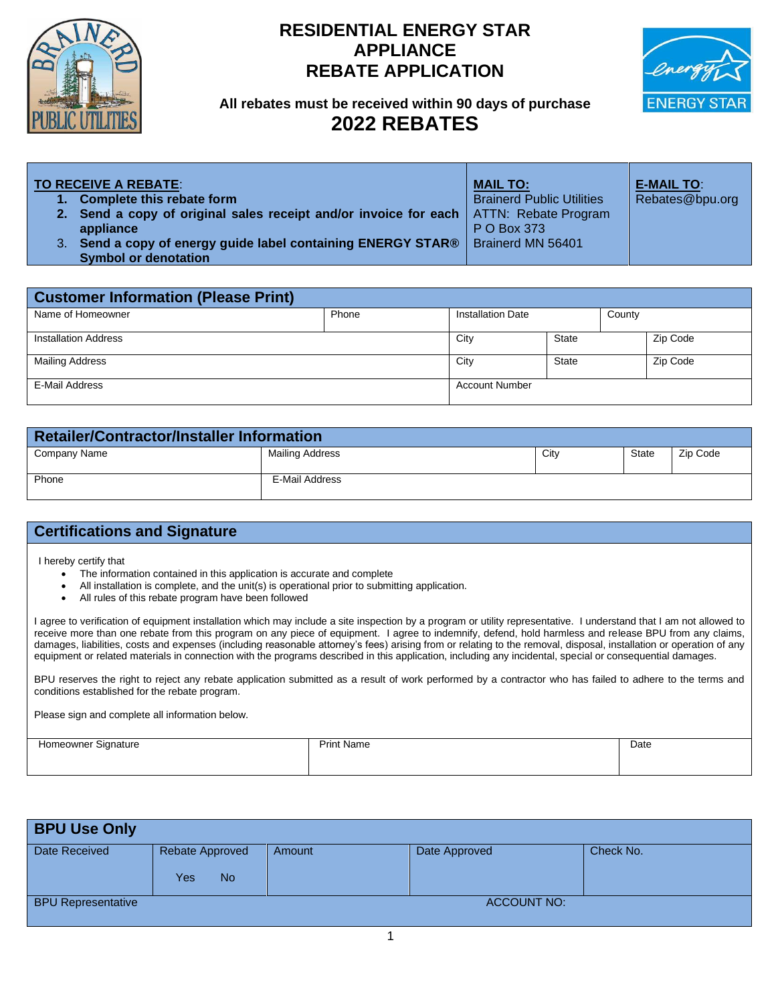

## **RESIDENTIAL ENERGY STAR APPLIANCE REBATE APPLICATION**



## **All rebates must be received within 90 days of purchase 2022 REBATES**

| <b>TO RECEIVE A REBATE:</b><br>1. Complete this rebate form<br>2. Send a copy of original sales receipt and/or invoice for each   ATTN: Rebate Program<br>appliance<br>3. Send a copy of energy guide label containing ENERGY STAR®<br><b>Symbol or denotation</b> | <b>MAIL TO:</b><br><b>Brainerd Public Utilities</b><br>P O Box 373<br>Brainerd MN 56401 | <b>E-MAIL TO:</b><br>Rebates@bpu.org |
|--------------------------------------------------------------------------------------------------------------------------------------------------------------------------------------------------------------------------------------------------------------------|-----------------------------------------------------------------------------------------|--------------------------------------|
|--------------------------------------------------------------------------------------------------------------------------------------------------------------------------------------------------------------------------------------------------------------------|-----------------------------------------------------------------------------------------|--------------------------------------|

| <b>Customer Information (Please Print)</b> |       |                          |       |        |          |
|--------------------------------------------|-------|--------------------------|-------|--------|----------|
| Name of Homeowner                          | Phone | <b>Installation Date</b> |       | County |          |
| <b>Installation Address</b>                |       | City                     | State |        | Zip Code |
| <b>Mailing Address</b>                     |       | City                     | State |        | Zip Code |
| E-Mail Address                             |       | <b>Account Number</b>    |       |        |          |

| <b>Retailer/Contractor/Installer Information</b> |                 |      |              |          |
|--------------------------------------------------|-----------------|------|--------------|----------|
| Company Name                                     | Mailing Address | City | <b>State</b> | Zip Code |
| Phone                                            | E-Mail Address  |      |              |          |

## **Certifications and Signature**

I hereby certify that

- The information contained in this application is accurate and complete
- All installation is complete, and the unit(s) is operational prior to submitting application.
- All rules of this rebate program have been followed

I agree to verification of equipment installation which may include a site inspection by a program or utility representative. I understand that I am not allowed to receive more than one rebate from this program on any piece of equipment. I agree to indemnify, defend, hold harmless and release BPU from any claims, damages, liabilities, costs and expenses (including reasonable attorney's fees) arising from or relating to the removal, disposal, installation or operation of any equipment or related materials in connection with the programs described in this application, including any incidental, special or consequential damages.

BPU reserves the right to reject any rebate application submitted as a result of work performed by a contractor who has failed to adhere to the terms and conditions established for the rebate program.

Please sign and complete all information below.

| Signature<br>eownei<br>⊣on<br>ີ | <b>Print Name</b> | Date |
|---------------------------------|-------------------|------|
|                                 |                   |      |
|                                 |                   |      |
|                                 |                   |      |

| <b>BPU Use Only</b>       |                                     |        |                    |           |  |
|---------------------------|-------------------------------------|--------|--------------------|-----------|--|
| Date Received             | Rebate Approved<br><b>No</b><br>Yes | Amount | Date Approved      | Check No. |  |
| <b>BPU Representative</b> |                                     |        | <b>ACCOUNT NO:</b> |           |  |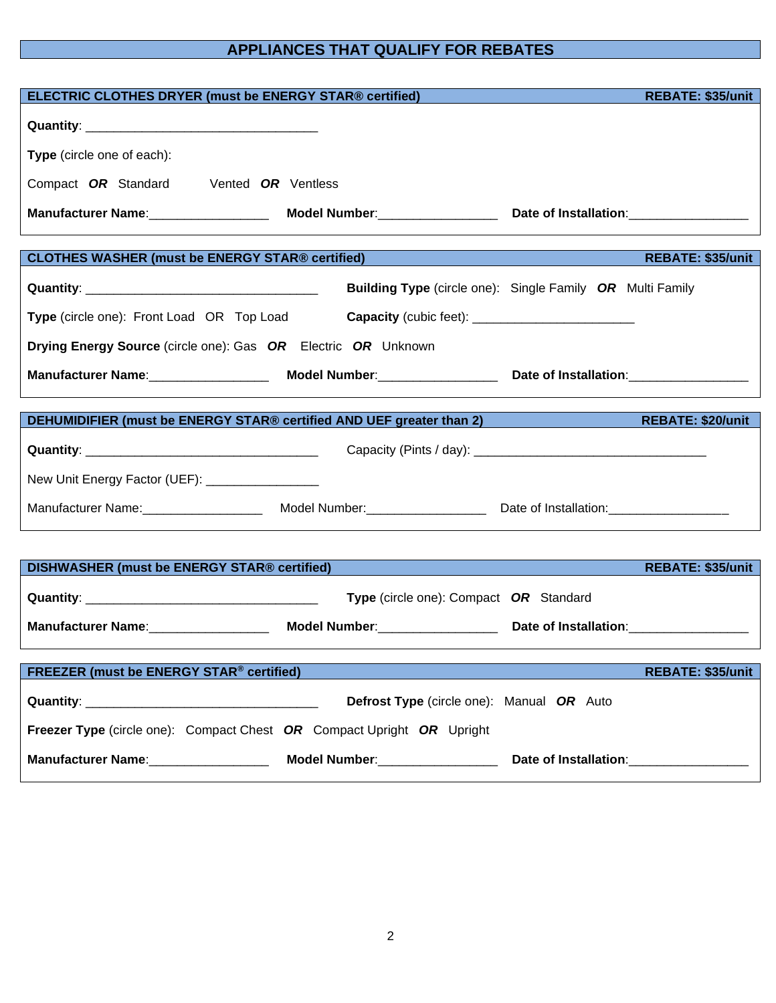## **APPLIANCES THAT QUALIFY FOR REBATES**

| ELECTRIC CLOTHES DRYER (must be ENERGY STAR® certified)                                 |                                           | <b>REBATE: \$35/unit</b>                                         |
|-----------------------------------------------------------------------------------------|-------------------------------------------|------------------------------------------------------------------|
|                                                                                         |                                           |                                                                  |
|                                                                                         |                                           |                                                                  |
| Type (circle one of each):                                                              |                                           |                                                                  |
| Compact OR Standard Vented OR Ventless                                                  |                                           |                                                                  |
|                                                                                         |                                           |                                                                  |
|                                                                                         |                                           |                                                                  |
| <b>CLOTHES WASHER (must be ENERGY STAR® certified)</b>                                  |                                           | <b>REBATE: \$35/unit</b>                                         |
|                                                                                         |                                           | <b>Building Type</b> (circle one): Single Family OR Multi Family |
| Type (circle one): Front Load OR Top Load Capacity (cubic feet): ______________________ |                                           |                                                                  |
| Drying Energy Source (circle one): Gas OR Electric OR Unknown                           |                                           |                                                                  |
|                                                                                         |                                           |                                                                  |
|                                                                                         |                                           |                                                                  |
| DEHUMIDIFIER (must be ENERGY STAR® certified AND UEF greater than 2)                    |                                           | <b>REBATE: \$20/unit</b>                                         |
|                                                                                         |                                           |                                                                  |
|                                                                                         |                                           |                                                                  |
| New Unit Energy Factor (UEF): __________________                                        |                                           |                                                                  |
|                                                                                         |                                           |                                                                  |
|                                                                                         |                                           |                                                                  |
|                                                                                         |                                           |                                                                  |
| DISHWASHER (must be ENERGY STAR® certified)                                             |                                           | <b>REBATE: \$35/unit</b>                                         |
|                                                                                         | Type (circle one): Compact OR Standard    |                                                                  |
|                                                                                         |                                           |                                                                  |
|                                                                                         |                                           |                                                                  |
| <b>FREEZER (must be ENERGY STAR® certified)</b>                                         |                                           | <b>REBATE: \$35/unit</b>                                         |
|                                                                                         | Defrost Type (circle one): Manual OR Auto |                                                                  |
| Freezer Type (circle one): Compact Chest OR Compact Upright OR Upright                  |                                           |                                                                  |
|                                                                                         |                                           |                                                                  |
|                                                                                         |                                           |                                                                  |